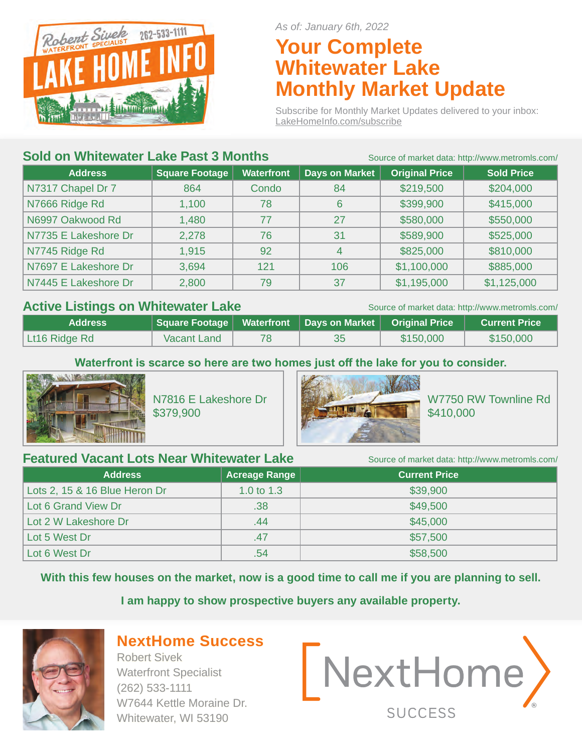

*As of: January 6th, 2022*

# **Your Complete Whitewater Lake Monthly Market Update**

Subscribe for Monthly Market Updates delivered to your inbox: LakeHomeInfo.com/subscribe

## **Sold on Whitewater Lake Past 3 Months** Source of market data: http://www.metromls.com/

| <b>Square Footage</b><br><b>Waterfront</b><br><b>Address</b><br>N7317 Chapel Dr 7<br>Condo<br>864 |       |     |                       |                       | <u>UUUTUU TITULINUL UULU. TILIP!//WWW.ITIULIUITIIJ.UUTTI/</u> |
|---------------------------------------------------------------------------------------------------|-------|-----|-----------------------|-----------------------|---------------------------------------------------------------|
|                                                                                                   |       |     | <b>Days on Market</b> | <b>Original Price</b> | <b>Sold Price</b>                                             |
|                                                                                                   |       |     | 84                    | \$219,500             | \$204,000                                                     |
| N7666 Ridge Rd                                                                                    | 1,100 | 78  | 6                     | \$399,900             | \$415,000                                                     |
| N6997 Oakwood Rd                                                                                  | 1,480 | 77  | 27                    | \$580,000             | \$550,000                                                     |
| N7735 E Lakeshore Dr                                                                              | 2,278 | 76  | 31                    | \$589,900             | \$525,000                                                     |
| N7745 Ridge Rd                                                                                    | 1,915 | 92  | 4                     | \$825,000             | \$810,000                                                     |
| N7697 E Lakeshore Dr                                                                              | 3,694 | 121 | 106                   | \$1,100,000           | \$885,000                                                     |
| N7445 E Lakeshore Dr                                                                              | 2,800 | 79  | 37                    | \$1,195,000           | \$1,125,000                                                   |
|                                                                                                   |       |     |                       |                       |                                                               |

## Active Listings on Whitewater Lake Source of market data: http://www.metromls.com/

| <b>Address</b> | │ Square Footage │ Waterfront │ Days on Market │ Original Price │ |  |           | <b>Current Price</b> |
|----------------|-------------------------------------------------------------------|--|-----------|----------------------|
| Lt16 Ridge Rd  | Vacant Land                                                       |  | \$150,000 | \$150,000            |

**Waterfront is scarce so here are two homes just off the lake for you to consider.**



N7816 E Lakeshore Dr \$379,900



W7750 RW Townline Rd \$410,000

## **Featured Vacant Lots Near Whitewater Lake** Source of market data: http://www.metromls.com/

| <b>Address</b>                | Acreage Range | <b>Current Price</b> |  |  |  |
|-------------------------------|---------------|----------------------|--|--|--|
| Lots 2, 15 & 16 Blue Heron Dr | 1.0 to $1.3$  | \$39,900             |  |  |  |
| Lot 6 Grand View Dr           | .38           | \$49,500             |  |  |  |
| Lot 2 W Lakeshore Dr          | .44           | \$45,000             |  |  |  |
| Lot 5 West Dr                 | .47           | \$57,500             |  |  |  |
| Lot 6 West Dr                 | .54           | \$58,500             |  |  |  |

**With this few houses on the market, now is a good time to call me if you are planning to sell.**

**I am happy to show prospective buyers any available property.** 



# **NextHome Success**

Robert Sivek Waterfront Specialist (262) 533-1111 W7644 Kettle Moraine Dr. Whitewater, WI 53190